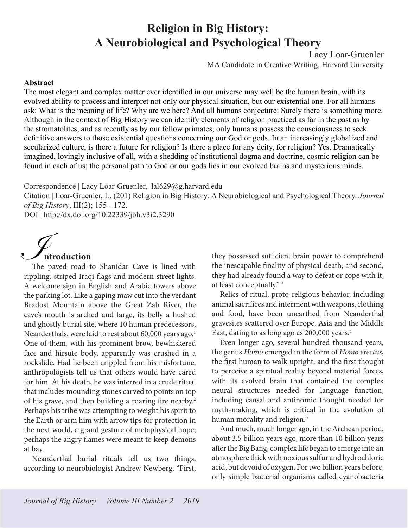# **Religion in Big History: A Neurobiological and Psychological Theory**

Lacy Loar-Gruenler

MA Candidate in Creative Writing, Harvard University

#### <span id="page-0-0"></span>**Abstract**

The most elegant and complex matter ever identified in our universe may well be the human brain, with its evolved ability to process and interpret not only our physical situation, but our existential one. For all humans ask: What is the meaning of life? Why are we here? And all humans conjecture: Surely there is something more. Although in the context of Big History we can identify elements of religion practiced as far in the past as by the stromatolites, and as recently as by our fellow primates, only humans possess the consciousness to seek definitive answers to those existential questions concerning our God or gods. In an increasingly globalized and secularized culture, is there a future for religion? Is there a place for any deity, for religion? Yes. Dramatically imagined, lovingly inclusive of all, with a shedding of institutional dogma and doctrine, cosmic religion can be found in each of us; the personal path to God or our gods lies in our evolved brains and mysterious minds.

Correspondence | Lacy Loar-Gruenler, lal629@g.harvard.edu

Citation | Loar-Gruenler, L. (201) Religion in Big History: A Neurobiological and Psychological Theory. *Journal of Big History*, III(2); 155 - 172.

DOI | http://dx.doi.org/10.22339/jbh.v3i2.3290



# **ntroduction**

rippling, striped Iraqi flags and modern street lights. A welcome sign in English and Arabic towers above the parking lot. Like a gaping maw cut into the verdant Bradost Mountain above the Great Zab River, the cave's mouth is arched and large, its belly a hushed and ghostly burial site, where 10 human predecessors, Neanderthals, were laid to rest about 60,000 years ago.<sup>[1](#page-15-0)</sup> One of them, with his prominent brow, bewhiskered face and hirsute body, apparently was crushed in a rockslide. Had he been crippled from his misfortune, anthropologists tell us that others would have cared for him. At his death, he was interred in a crude ritual that includes mounding stones carved to points on top of his grave, and then building a roaring fire nearby.[2](#page-15-0) Perhaps his tribe was attempting to weight his spirit to the Earth or arm him with arrow tips for protection in the next world, a grand gesture of metaphysical hope; perhaps the angry flames were meant to keep demons at bay.

Neanderthal burial rituals tell us two things, according to neurobiologist Andrew Newberg, "First, they possessed sufficient brain power to comprehend the inescapable finality of physical death; and second, they had already found a way to defeat or cope with it, at least conceptually." [3](#page-15-0)

Relics of ritual, proto-religious behavior, including animal sacrifices and interment with weapons, clothing and food, have been unearthed from Neanderthal gravesites scattered over Europe, Asia and the Middle East, dating to as long ago as 200,000 years.<sup>[4](#page-15-0)</sup>

Even longer ago, several hundred thousand years, the genus *Homo* emerged in the form of *Homo erectus*, the first human to walk upright, and the first thought to perceive a spiritual reality beyond material forces, with its evolved brain that contained the complex neural structures needed for language function, including causal and antinomic thought needed for myth-making, which is critical in the evolution of human morality and religion.<sup>[5](#page-15-0)</sup>

And much, much longer ago, in the Archean period, about 3.5 billion years ago, more than 10 billion years after the Big Bang, complex life began to emerge into an atmosphere thick with noxious sulfur and hydrochloric acid, but devoid of oxygen. For two billion years before, only simple bacterial organisms called cyanobacteria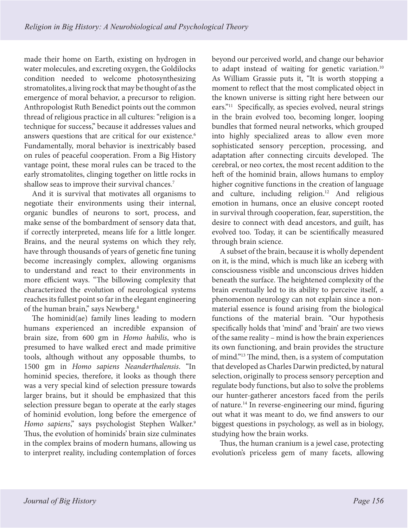<span id="page-1-0"></span>made their home on Earth, existing on hydrogen in water molecules, and excreting oxygen, the Goldilocks condition needed to welcome photosynthesizing stromatolites, a living rock that may be thought of as the emergence of moral behavior, a precursor to religion. Anthropologist Ruth Benedict points out the common thread of religious practice in all cultures: "religion is a technique for success," because it addresses values and answers questions that are critical for our existence.<sup>[6](#page-15-0)</sup> Fundamentally, moral behavior is inextricably based on rules of peaceful cooperation. From a Big History vantage point, these moral rules can be traced to the early stromatolites, clinging together on little rocks in shallow seas to improve their survival chances.<sup>[7](#page-15-0)</sup>

And it is survival that motivates all organisms to negotiate their environments using their internal, organic bundles of neurons to sort, process, and make sense of the bombardment of sensory data that, if correctly interpreted, means life for a little longer. Brains, and the neural systems on which they rely, have through thousands of years of genetic fine tuning become increasingly complex, allowing organisms to understand and react to their environments in more efficient ways. "The billowing complexity that characterized the evolution of neurological systems reaches its fullest point so far in the elegant engineering of the human brain," says Newberg.<sup>8</sup>

The hominid(ae) family lines leading to modern humans experienced an incredible expansion of brain size, from 600 gm in *Homo habilis*, who is presumed to have walked erect and made primitive tools, although without any opposable thumbs, to 1500 gm in *Homo sapiens Neanderthalensis*. "In hominid species, therefore, it looks as though there was a very special kind of selection pressure towards larger brains, but it should be emphasized that this selection pressure began to operate at the early stages of hominid evolution, long before the emergence of *Homo sapiens*," says psychologist Stephen Walker.[9](#page-15-0) Thus, the evolution of hominids' brain size culminates in the complex brains of modern humans, allowing us to interpret reality, including contemplation of forces beyond our perceived world, and change our behavior to adapt instead of waiting for genetic variation.<sup>10</sup> As William Grassie puts it, "It is worth stopping a moment to reflect that the most complicated object in the known universe is sitting right here between our ears.["11](#page-15-0) Specifically, as species evolved, neural strings in the brain evolved too, becoming longer, looping bundles that formed neural networks, which grouped into highly specialized areas to allow even more sophisticated sensory perception, processing, and adaptation after connecting circuits developed. The cerebral, or neo cortex, the most recent addition to the heft of the hominid brain, allows humans to employ higher cognitive functions in the creation of language and culture, including religion.<sup>12</sup> And religious emotion in humans, once an elusive concept rooted in survival through cooperation, fear, superstition, the desire to connect with dead ancestors, and guilt, has evolved too. Today, it can be scientifically measured through brain science.

A subset of the brain, because it is wholly dependent on it, is the mind, which is much like an iceberg with consciousness visible and unconscious drives hidden beneath the surface. The heightened complexity of the brain eventually led to its ability to perceive itself, a phenomenon neurology can not explain since a nonmaterial essence is found arising from the biological functions of the material brain. "Our hypothesis specifically holds that 'mind' and 'brain' are two views of the same reality – mind is how the brain experiences its own functioning, and brain provides the structure of mind."[13](#page-15-0) The mind, then, is a system of computation that developed as Charles Darwin predicted, by natural selection, originally to process sensory perception and regulate body functions, but also to solve the problems our hunter-gatherer ancestors faced from the perils of nature[.14](#page-15-0) In reverse-engineering our mind, figuring out what it was meant to do, we find answers to our biggest questions in psychology, as well as in biology, studying how the brain works.

Thus, the human cranium is a jewel case, protecting evolution's priceless gem of many facets, allowing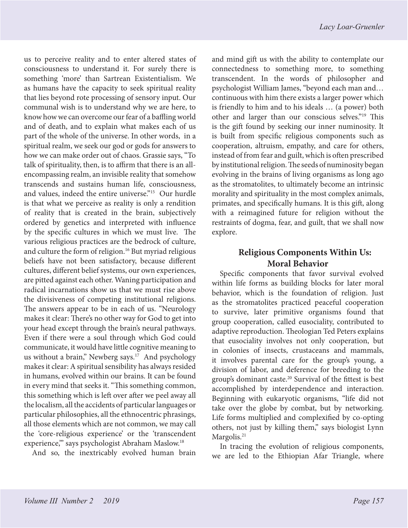<span id="page-2-0"></span>us to perceive reality and to enter altered states of consciousness to understand it. For surely there is something 'more' than Sartrean Existentialism. We as humans have the capacity to seek spiritual reality that lies beyond rote processing of sensory input. Our communal wish is to understand why we are here, to know how we can overcome our fear of a baffling world and of death, and to explain what makes each of us part of the whole of the universe. In other words, in a spiritual realm, we seek our god or gods for answers to how we can make order out of chaos. Grassie says, "To talk of spirituality, then, is to affirm that there is an allencompassing realm, an invisible reality that somehow transcends and sustains human life, consciousness, and values, indeed the entire universe."[15](#page-15-0) Our hurdle is that what we perceive as reality is only a rendition of reality that is created in the brain, subjectively ordered by genetics and interpreted with influence by the specific cultures in which we must live. The various religious practices are the bedrock of culture, and culture the form of religion.<sup>[16](#page-15-0)</sup> But myriad religious beliefs have not been satisfactory, because different cultures, different belief systems, our own experiences, are pitted against each other. Waning participation and radical incarnations show us that we must rise above the divisiveness of competing institutional religions. The answers appear to be in each of us. "Neurology makes it clear: There's no other way for God to get into your head except through the brain's neural pathways. Even if there were a soul through which God could communicate, it would have little cognitive meaning to us without a brain," Newberg says.<sup>17</sup> And psychology makes it clear: A spiritual sensibility has always resided in humans, evolved within our brains. It can be found in every mind that seeks it. "This something common, this something which is left over after we peel away all the localism, all the accidents of particular languages or particular philosophies, all the ethnocentric phrasings, all those elements which are not common, we may call the 'core-religious experience' or the 'transcendent experience,'" says psychologist Abraham Maslow.[18](#page-15-0)

And so, the inextricably evolved human brain

and mind gift us with the ability to contemplate our connectedness to something more, to something transcendent. In the words of philosopher and psychologist William James, "beyond each man and… continuous with him there exists a larger power which is friendly to him and to his ideals … (a power) both other and larger than our conscious selves.["19](#page-15-0) This is the gift found by seeking our inner numinosity. It is built from specific religious components such as cooperation, altruism, empathy, and care for others, instead of from fear and guilt, which is often prescribed by institutional religion. The seeds of numinosity began evolving in the brains of living organisms as long ago as the stromatolites, to ultimately become an intrinsic morality and spirituality in the most complex animals, primates, and specifically humans. It is this gift, along with a reimagined future for religion without the restraints of dogma, fear, and guilt, that we shall now explore.

# **Religious Components Within Us: Moral Behavior**

Specific components that favor survival evolved within life forms as building blocks for later moral behavior, which is the foundation of religion. Just as the stromatolites practiced peaceful cooperation to survive, later primitive organisms found that group cooperation, called eusociality, contributed to adaptive reproduction. Theologian Ted Peters explains that eusociality involves not only cooperation, but in colonies of insects, crustaceans and mammals, it involves parental care for the group's young, a division of labor, and deference for breeding to the group's dominant caste.<sup>20</sup> Survival of the fittest is best accomplished by interdependence and interaction. Beginning with eukaryotic organisms, "life did not take over the globe by combat, but by networking. Life forms multiplied and complexified by co-opting others, not just by killing them," says biologist Lynn Margolis.<sup>[21](#page-15-0)</sup>

In tracing the evolution of religious components, we are led to the Ethiopian Afar Triangle, where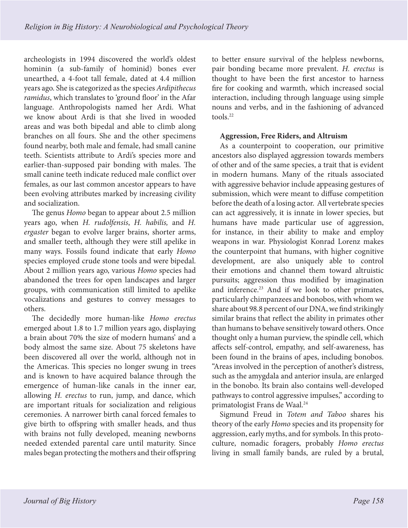<span id="page-3-0"></span>archeologists in 1994 discovered the world's oldest hominin (a sub-family of hominid) bones ever unearthed, a 4-foot tall female, dated at 4.4 million years ago. She is categorized as the species *Ardipithecus ramidus*, which translates to 'ground floor' in the Afar language. Anthropologists named her Ardi. What we know about Ardi is that she lived in wooded areas and was both bipedal and able to climb along branches on all fours. She and the other specimens found nearby, both male and female, had small canine teeth. Scientists attribute to Ardi's species more and earlier-than-supposed pair bonding with males. The small canine teeth indicate reduced male conflict over females, as our last common ancestor appears to have been evolving attributes marked by increasing civility and socialization.

The genus *Homo* began to appear about 2.5 million years ago, when *H. rudolfensis*, *H. habilis,* and *H. ergaster* began to evolve larger brains, shorter arms, and smaller teeth, although they were still apelike in many ways. Fossils found indicate that early *Homo* species employed crude stone tools and were bipedal. About 2 million years ago, various *Homo* species had abandoned the trees for open landscapes and larger groups, with communication still limited to apelike vocalizations and gestures to convey messages to others.

The decidedly more human-like *Homo erectus* emerged about 1.8 to 1.7 million years ago, displaying a brain about 70% the size of modern humans' and a body almost the same size. About 75 skeletons have been discovered all over the world, although not in the Americas. This species no longer swung in trees and is known to have acquired balance through the emergence of human-like canals in the inner ear, allowing *H. erectus* to run, jump, and dance, which are important rituals for socialization and religious ceremonies. A narrower birth canal forced females to give birth to offspring with smaller heads, and thus with brains not fully developed, meaning newborns needed extended parental care until maturity. Since males began protecting the mothers and their offspring

to better ensure survival of the helpless newborns, pair bonding became more prevalent. *H. erectus* is thought to have been the first ancestor to harness fire for cooking and warmth, which increased social interaction, including through language using simple nouns and verbs, and in the fashioning of advanced tools $22$ 

#### **Aggression, Free Riders, and Altruism**

As a counterpoint to cooperation, our primitive ancestors also displayed aggression towards members of other and of the same species, a trait that is evident in modern humans. Many of the rituals associated with aggressive behavior include appeasing gestures of submission, which were meant to diffuse competition before the death of a losing actor. All vertebrate species can act aggressively, it is innate in lower species, but humans have made particular use of aggression, for instance, in their ability to make and employ weapons in war. Physiologist Konrad Lorenz makes the counterpoint that humans, with higher cognitive development, are also uniquely able to control their emotions and channel them toward altruistic pursuits; aggression thus modified by imagination and inference.<sup>[23](#page-15-0)</sup> And if we look to other primates, particularly chimpanzees and bonobos, with whom we share about 98.8 percent of our DNA, we find strikingly similar brains that reflect the ability in primates other than humans to behave sensitively toward others. Once thought only a human purview, the spindle cell, which affects self-control, empathy, and self-awareness, has been found in the brains of apes, including bonobos. "Areas involved in the perception of another's distress, such as the amygdala and anterior insula, are enlarged in the bonobo. Its brain also contains well-developed pathways to control aggressive impulses," according to primatologist Frans de Waal.<sup>24</sup>

Sigmund Freud in *Totem and Taboo* shares his theory of the early *Homo* species and its propensity for aggression, early myths, and for symbols. In this protoculture, nomadic foragers, probably *Homo erectus* living in small family bands, are ruled by a brutal,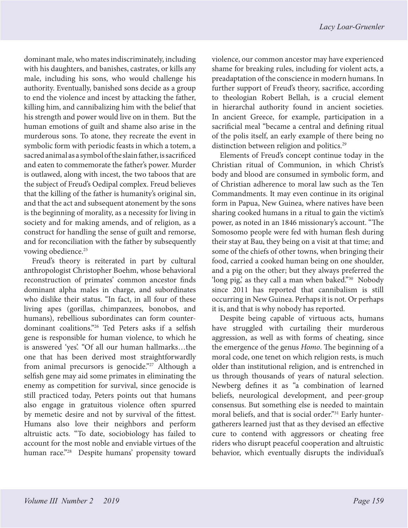<span id="page-4-0"></span>dominant male, who mates indiscriminately, including with his daughters, and banishes, castrates, or kills any male, including his sons, who would challenge his authority. Eventually, banished sons decide as a group to end the violence and incest by attacking the father, killing him, and cannibalizing him with the belief that his strength and power would live on in them. But the human emotions of guilt and shame also arise in the murderous sons. To atone, they recreate the event in symbolic form with periodic feasts in which a totem, a sacred animal as a symbol of the slain father, is sacrificed and eaten to commemorate the father's power. Murder is outlawed, along with incest, the two taboos that are the subject of Freud's Oedipal complex. Freud believes that the killing of the father is humanity's original sin, and that the act and subsequent atonement by the sons is the beginning of morality, as a necessity for living in society and for making amends, and of religion, as a construct for handling the sense of guilt and remorse, and for reconciliation with the father by subsequently vowing obedience.<sup>25</sup>

Freud's theory is reiterated in part by cultural anthropologist Christopher Boehm, whose behavioral reconstruction of primates' common ancestor finds dominant alpha males in charge, and subordinates who dislike their status. "In fact, in all four of these living apes (gorillas, chimpanzees, bonobos, and humans), rebellious subordinates can form counterdominant coalitions."[26](#page-15-0) Ted Peters asks if a selfish gene is responsible for human violence, to which he is answered 'yes'. "Of all our human hallmarks…the one that has been derived most straightforwardly from animal precursors is genocide."<sup>27</sup> Although a selfish gene may aid some primates in eliminating the enemy as competition for survival, since genocide is still practiced today, Peters points out that humans also engage in gratuitous violence often spurred by memetic desire and not by survival of the fittest. Humans also love their neighbors and perform altruistic acts. "To date, sociobiology has failed to account for the most noble and enviable virtues of the human race."<sup>28</sup> Despite humans' propensity toward violence, our common ancestor may have experienced shame for breaking rules, including for violent acts, a preadaptation of the conscience in modern humans. In further support of Freud's theory, sacrifice, according to theologian Robert Bellah, is a crucial element in hierarchal authority found in ancient societies. In ancient Greece, for example, participation in a sacrificial meal "became a central and defining ritual of the polis itself, an early example of there being no distinction between religion and politics.<sup>[29](#page-15-0)</sup>

Elements of Freud's concept continue today in the Christian ritual of Communion, in which Christ's body and blood are consumed in symbolic form, and of Christian adherence to moral law such as the Ten Commandments. It may even continue in its original form in Papua, New Guinea, where natives have been sharing cooked humans in a ritual to gain the victim's power, as noted in an 1846 missionary's account. "The Somosomo people were fed with human flesh during their stay at Bau, they being on a visit at that time; and some of the chiefs of other towns, when bringing their food, carried a cooked human being on one shoulder, and a pig on the other; but they always preferred the 'long pig,' as they call a man when baked.["30](#page-15-0) Nobody since 2011 has reported that cannibalism is still occurring in New Guinea. Perhaps it is not. Or perhaps it is, and that is why nobody has reported.

Despite being capable of virtuous acts, humans have struggled with curtailing their murderous aggression, as well as with forms of cheating, since the emergence of the genus *Homo*. The beginning of a moral code, one tenet on which religion rests, is much older than institutional religion, and is entrenched in us through thousands of years of natural selection. Newberg defines it as "a combination of learned beliefs, neurological development, and peer-group consensus. But something else is needed to maintain moral beliefs, and that is social order."<sup>31</sup> Early huntergatherers learned just that as they devised an effective cure to contend with aggressors or cheating free riders who disrupt peaceful cooperation and altruistic behavior, which eventually disrupts the individual's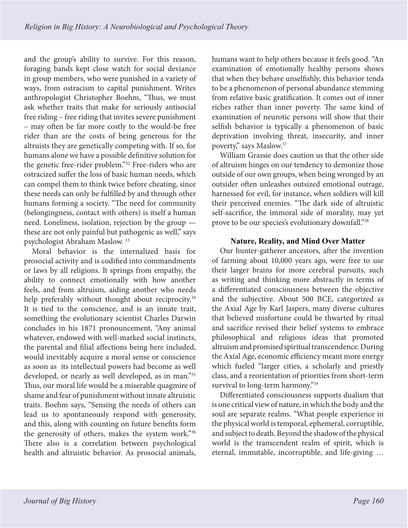<span id="page-5-0"></span>and the group's ability to survive. For this reason, foraging bands kept close watch for social deviance in group members, who were punished in a variety of ways, from ostracism to capital punishment. Writes anthropologist Christopher Boehm, "Thus, we must ask whether traits that make for seriously antisocial free riding – free riding that invites severe punishment – may often be far more costly to the would-be free rider than are the costs of being generous for the altruists they are genetically competing with. If so, for humans alone we have a possible definitive solution for the genetic free-rider problem.["32](#page-15-0) Free-riders who are ostracized suffer the loss of basic human needs, which can compel them to think twice before cheating, since these needs can only be fulfilled by and through other humans forming a society. "The need for community (belongingness, contact with others) is itself a human need. Loneliness, isolation, rejection by the group these are not only painful but pathogenic as well," says psychologist Abraham Maslow. [33](#page-15-0)

Moral behavior is the internalized basis for prosocial activity and is codified into commandments or laws by all religions. It springs from empathy, the ability to connect emotionally with how another feels, and from altruism, aiding another who needs help preferably without thought about reciprocity.<sup>34</sup> It is tied to the conscience, and is an innate trait, something the evolutionary scientist Charles Darwin concludes in his 1871 pronouncement, "Any animal whatever, endowed with well-marked social instincts, the parental and filial affections being here included, would inevitably acquire a moral sense or conscience as soon as its intellectual powers had become as well developed, or nearly as well developed, as in man.["35](#page-16-0) Thus, our moral life would be a miserable quagmire of shame and fear of punishment without innate altruistic traits. Boehm says, "Sensing the needs of others can lead us to spontaneously respond with generosity, and this, along with counting on future benefits form the generosity of others, makes the system work.["36](#page-16-0) There also is a correlation between psychological health and altruistic behavior. As prosocial animals,

humans want to help others because it feels good. "An examination of emotionally healthy persons shows that when they behave unselfishly, this behavior tends to be a phenomenon of personal abundance stemming from relative basic gratification. It comes out of inner riches rather than inner poverty. The same kind of examination of neurotic persons will show that their selfish behavior is typically a phenomenon of basic deprivation involving threat, insecurity, and inner poverty," says Maslow.[37](#page-16-0)

William Grassie does caution us that the other side of altruism hinges on our tendency to demonize those outside of our own groups, when being wronged by an outsider often unleashes outsized emotional outrage, harnessed for evil, for instance, when soldiers will kill their perceived enemies. "The dark side of altruistic self-sacrifice, the immoral side of morality, may yet prove to be our species's evolutionary downfall."[38](#page-16-0)

#### **Nature, Reality, and Mind Over Matter**

Our hunter-gatherer ancestors, after the invention of farming about 10,000 years ago, were free to use their larger brains for more cerebral pursuits, such as writing and thinking more abstractly in terms of a differentiated consciousness between the objective and the subjective. About 500 BCE, categorized as the Axial Age by Karl Jaspers, many diverse cultures that believed misfortune could be thwarted by ritual and sacrifice revised their belief systems to embrace philosophical and religious ideas that promoted altruism and promised spiritual transcendence. During the Axial Age, economic efficiency meant more energy which fueled "larger cities, a scholarly and priestly class, and a reorientation of priorities from short-term survival to long-term harmony.["39](#page-16-0)

Differentiated consciousness supports dualism that is one critical view of nature, in which the body and the soul are separate realms. "What people experience in the physical world is temporal, ephemeral, corruptible, and subject to death. Beyond the shadow of the physical world is the transcendent realm of spirit, which is eternal, immutable, incorruptible, and life-giving …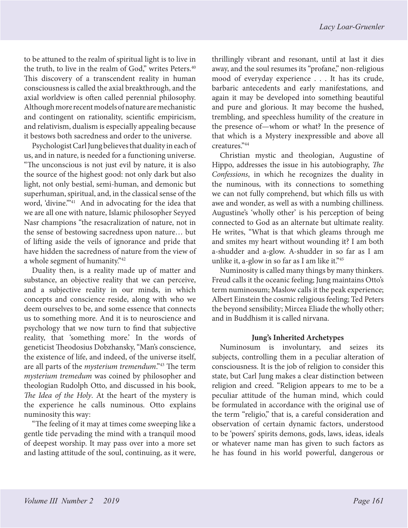<span id="page-6-0"></span>to be attuned to the realm of spiritual light is to live in the truth, to live in the realm of God," writes Peters.<sup>40</sup> This discovery of a transcendent reality in human consciousness is called the axial breakthrough, and the axial worldview is often called perennial philosophy. Although more recent models of nature are mechanistic and contingent on rationality, scientific empiricism, and relativism, dualism is especially appealing because it bestows both sacredness and order to the universe.

Psychologist Carl Jung believes that duality in each of us, and in nature, is needed for a functioning universe. "The unconscious is not just evil by nature, it is also the source of the highest good: not only dark but also light, not only bestial, semi-human, and demonic but superhuman, spiritual, and, in the classical sense of the word, 'divine."<sup>[41](#page-16-0)</sup> And in advocating for the idea that we are all one with nature, Islamic philosopher Seyyed Nasr champions "the resacralization of nature, not in the sense of bestowing sacredness upon nature… but of lifting aside the veils of ignorance and pride that have hidden the sacredness of nature from the view of a whole segment of humanity.["42](#page-16-0)

Duality then, is a reality made up of matter and substance, an objective reality that we can perceive, and a subjective reality in our minds, in which concepts and conscience reside, along with who we deem ourselves to be, and some essence that connects us to something more. And it is to neuroscience and psychology that we now turn to find that subjective reality, that 'something more.' In the words of geneticist Theodosius Dobzhansky, "Man's conscience, the existence of life, and indeed, of the universe itself, are all parts of the *mysterium tremendum*.["43](#page-16-0) The term *mysterium tremedum* was coined by philosopher and theologian Rudolph Otto, and discussed in his book, *The Idea of the Holy*. At the heart of the mystery is the experience he calls numinous. Otto explains numinosity this way:

"The feeling of it may at times come sweeping like a gentle tide pervading the mind with a tranquil mood of deepest worship. It may pass over into a more set and lasting attitude of the soul, continuing, as it were, thrillingly vibrant and resonant, until at last it dies away, and the soul resumes its "profane," non-religious mood of everyday experience . . . It has its crude, barbaric antecedents and early manifestations, and again it may be developed into something beautiful and pure and glorious. It may become the hushed, trembling, and speechless humility of the creature in the presence of—whom or what? In the presence of that which is a Mystery inexpressible and above all creatures.["44](#page-16-0)

Christian mystic and theologian, Augustine of Hippo, addresses the issue in his autobiography, *The Confessions*, in which he recognizes the duality in the numinous, with its connections to something we can not fully comprehend, but which fills us with awe and wonder, as well as with a numbing chilliness. Augustine's 'wholly other' is his perception of being connected to God as an alternate but ultimate reality. He writes, "What is that which gleams through me and smites my heart without wounding it? I am both a-shudder and a-glow. A-shudder in so far as I am unlike it, a-glow in so far as I am like it."[45](#page-16-0)

Numinosity is called many things by many thinkers. Freud calls it the oceanic feeling; Jung maintains Otto's term numinosum; Maslow calls it the peak experience; Albert Einstein the cosmic religious feeling; Ted Peters the beyond sensibility; Mircea Eliade the wholly other; and in Buddhism it is called nirvana.

#### **Jung's Inherited Archetypes**

Numinosum is involuntary, and seizes its subjects, controlling them in a peculiar alteration of consciousness. It is the job of religion to consider this state, but Carl Jung makes a clear distinction between religion and creed. "Religion appears to me to be a peculiar attitude of the human mind, which could be formulated in accordance with the original use of the term "religio," that is, a careful consideration and observation of certain dynamic factors, understood to be 'powers' spirits demons, gods, laws, ideas, ideals or whatever name man has given to such factors as he has found in his world powerful, dangerous or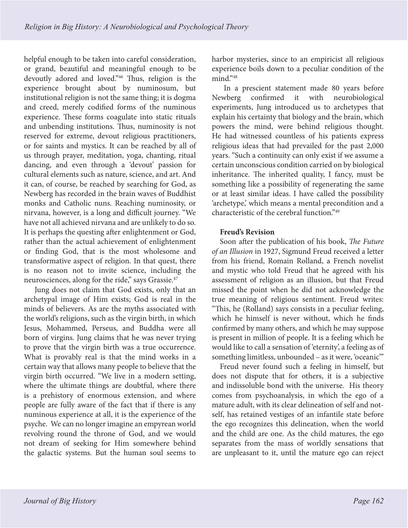<span id="page-7-0"></span>helpful enough to be taken into careful consideration, or grand, beautiful and meaningful enough to be devoutly adored and loved.["46](#page-16-0) Thus, religion is the experience brought about by numinosum, but institutional religion is not the same thing; it is dogma and creed, merely codified forms of the numinous experience. These forms coagulate into static rituals and unbending institutions. Thus, numinosity is not reserved for extreme, devout religious practitioners, or for saints and mystics. It can be reached by all of us through prayer, meditation, yoga, chanting, ritual dancing, and even through a 'devout' passion for cultural elements such as nature, science, and art. And it can, of course, be reached by searching for God, as Newberg has recorded in the brain waves of Buddhist monks and Catholic nuns. Reaching numinosity, or nirvana, however, is a long and difficult journey. "We have not all achieved nirvana and are unlikely to do so. It is perhaps the questing after enlightenment or God, rather than the actual achievement of enlightenment or finding God, that is the most wholesome and transformative aspect of religion. In that quest, there is no reason not to invite science, including the neurosciences, along for the ride," says Grassie.<sup>47</sup>

 Jung does not claim that God exists, only that an archetypal image of Him exists; God is real in the minds of believers. As are the myths associated with the world's religions, such as the virgin birth, in which Jesus, Mohammed, Perseus, and Buddha were all born of virgins. Jung claims that he was never trying to prove that the virgin birth was a true occurrence. What is provably real is that the mind works in a certain way that allows many people to believe that the virgin birth occurred. "We live in a modern setting, where the ultimate things are doubtful, where there is a prehistory of enormous extension, and where people are fully aware of the fact that if there is any numinous experience at all, it is the experience of the psyche. We can no longer imagine an empyrean world revolving round the throne of God, and we would not dream of seeking for Him somewhere behind the galactic systems. But the human soul seems to

harbor mysteries, since to an empiricist all religious experience boils down to a peculiar condition of the mind."[48](#page-16-0)

 In a prescient statement made 80 years before Newberg confirmed it with neurobiological experiments, Jung introduced us to archetypes that explain his certainty that biology and the brain, which powers the mind, were behind religious thought. He had witnessed countless of his patients express religious ideas that had prevailed for the past 2,000 years. "Such a continuity can only exist if we assume a certain unconscious condition carried on by biological inheritance. The inherited quality, I fancy, must be something like a possibility of regenerating the same or at least similar ideas. I have called the possibility 'archetype,' which means a mental precondition and a characteristic of the cerebral function.["49](#page-16-0)

# **Freud's Revision**

Soon after the publication of his book, *The Future of an Illusion* in 1927, Sigmund Freud received a letter from his friend, Romain Rolland, a French novelist and mystic who told Freud that he agreed with his assessment of religion as an illusion, but that Freud missed the point when he did not acknowledge the true meaning of religious sentiment. Freud writes: "This, he (Rolland) says consists in a peculiar feeling, which he himself is never without, which he finds confirmed by many others, and which he may suppose is present in million of people. It is a feeling which he would like to call a sensation of 'eternity', a feeling as of something limitless, unbounded – as it were, 'oceanic'"

Freud never found such a feeling in himself, but does not dispute that for others, it is a subjective and indissoluble bond with the universe. His theory comes from psychoanalysis, in which the ego of a mature adult, with its clear delineation of self and notself, has retained vestiges of an infantile state before the ego recognizes this delineation, when the world and the child are one. As the child matures, the ego separates from the mass of worldly sensations that are unpleasant to it, until the mature ego can reject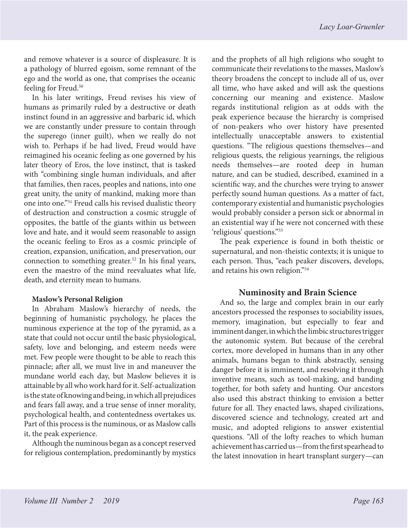<span id="page-8-0"></span>and remove whatever is a source of displeasure. It is a pathology of blurred egoism, some remnant of the ego and the world as one, that comprises the oceanic feeling for Freud.<sup>50</sup>

In his later writings, Freud revises his view of humans as primarily ruled by a destructive or death instinct found in an aggressive and barbaric id, which we are constantly under pressure to contain through the superego (inner guilt), when we really do not wish to. Perhaps if he had lived, Freud would have reimagined his oceanic feeling as one governed by his later theory of Eros, the love instinct, that is tasked with "combining single human individuals, and after that families, then races, peoples and nations, into one great unity, the unity of mankind, making more than one into one."[51](#page-16-0) Freud calls his revised dualistic theory of destruction and construction a cosmic struggle of opposites, the battle of the giants within us between love and hate, and it would seem reasonable to assign the oceanic feeling to Eros as a cosmic principle of creation, expansion, unification, and preservation, our connection to something greater.<sup>52</sup> In his final years, even the maestro of the mind reevaluates what life, death, and eternity mean to humans.

#### **Maslow's Personal Religion**

In Abraham Maslow's hierarchy of needs, the beginning of humanistic psychology, he places the numinous experience at the top of the pyramid, as a state that could not occur until the basic physiological, safety, love and belonging, and esteem needs were met. Few people were thought to be able to reach this pinnacle; after all, we must live in and maneuver the mundane world each day, but Maslow believes it is attainable by all who work hard for it. Self-actualization is the state of knowing and being, in which all prejudices and fears fall away, and a true sense of inner morality, psychological health, and contentedness overtakes us. Part of this process is the numinous, or as Maslow calls it, the peak experience.

Although the numinous began as a concept reserved for religious contemplation, predominantly by mystics

and the prophets of all high religions who sought to communicate their revelations to the masses, Maslow's theory broadens the concept to include all of us, over all time, who have asked and will ask the questions concerning our meaning and existence. Maslow regards institutional religion as at odds with the peak experience because the hierarchy is comprised of non-peakers who over history have presented intellectually unacceptable answers to existential questions. "The religious questions themselves—and religious quests, the religious yearnings, the religious needs themselves—are rooted deep in human nature, and can be studied, described, examined in a scientific way, and the churches were trying to answer perfectly sound human questions. As a matter of fact, contemporary existential and humanistic psychologies would probably consider a person sick or abnormal in an existential way if he were not concerned with these 'religious' questions."[53](#page-16-0)

The peak experience is found in both theistic or supernatural, and non-theistic contexts; it is unique to each person. Thus, "each peaker discovers, develops, and retains his own religion."[54](#page-16-0)

# **Numinosity and Brain Science**

And so, the large and complex brain in our early ancestors processed the responses to sociability issues, memory, imagination, but especially to fear and imminent danger, in which the limbic structures trigger the autonomic system. But because of the cerebral cortex, more developed in humans than in any other animals, humans began to think abstractly, sensing danger before it is imminent, and resolving it through inventive means, such as tool-making, and banding together, for both safety and hunting. Our ancestors also used this abstract thinking to envision a better future for all. They enacted laws, shaped civilizations, discovered science and technology, created art and music, and adopted religions to answer existential questions. "All of the lofty reaches to which human achievement has carried us—from the first spearhead to the latest innovation in heart transplant surgery—can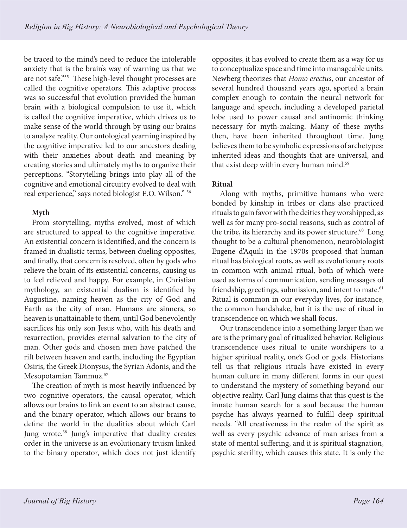<span id="page-9-0"></span>be traced to the mind's need to reduce the intolerable anxiety that is the brain's way of warning us that we are not safe."[55](#page-16-0) These high-level thought processes are called the cognitive operators. This adaptive process was so successful that evolution provided the human brain with a biological compulsion to use it, which is called the cognitive imperative, which drives us to make sense of the world through by using our brains to analyze reality. Our ontological yearning inspired by the cognitive imperative led to our ancestors dealing with their anxieties about death and meaning by creating stories and ultimately myths to organize their perceptions. "Storytelling brings into play all of the cognitive and emotional circuitry evolved to deal with real experience," says noted biologist E.O. Wilson." [56](#page-16-0)

# **Myth**

From storytelling, myths evolved, most of which are structured to appeal to the cognitive imperative. An existential concern is identified, and the concern is framed in dualistic terms, between dueling opposites, and finally, that concern is resolved, often by gods who relieve the brain of its existential concerns, causing us to feel relieved and happy. For example, in Christian mythology, an existential dualism is identified by Augustine, naming heaven as the city of God and Earth as the city of man. Humans are sinners, so heaven is unattainable to them, until God benevolently sacrifices his only son Jesus who, with his death and resurrection, provides eternal salvation to the city of man. Other gods and chosen men have patched the rift between heaven and earth, including the Egyptian Osiris, the Greek Dionysus, the Syrian Adonis, and the Mesopotamian Tammuz.[57](#page-16-0)

The creation of myth is most heavily influenced by two cognitive operators, the causal operator, which allows our brains to link an event to an abstract cause, and the binary operator, which allows our brains to define the world in the dualities about which Carl Jung wrote.[58](#page-16-0) Jung's imperative that duality creates order in the universe is an evolutionary truism linked to the binary operator, which does not just identify

opposites, it has evolved to create them as a way for us to conceptualize space and time into manageable units. Newberg theorizes that *Homo erectus*, our ancestor of several hundred thousand years ago, sported a brain complex enough to contain the neural network for language and speech, including a developed parietal lobe used to power causal and antinomic thinking necessary for myth-making. Many of these myths then, have been inherited throughout time. Jung believes them to be symbolic expressions of archetypes: inherited ideas and thoughts that are universal, and that exist deep within every human mind.<sup>[59](#page-16-0)</sup>

# **Ritual**

Along with myths, primitive humans who were bonded by kinship in tribes or clans also practiced rituals to gain favor with the deities they worshipped, as well as for many pro-social reasons, such as control of the tribe, its hierarchy and its power structure.<sup>60</sup> Long thought to be a cultural phenomenon, neurobiologist Eugene d'Aquili in the 1970s proposed that human ritual has biological roots, as well as evolutionary roots in common with animal ritual, both of which were used as forms of communication, sending messages of friendship, greetings, submission, and intent to mate.<sup>61</sup> Ritual is common in our everyday lives, for instance, the common handshake, but it is the use of ritual in transcendence on which we shall focus.

Our transcendence into a something larger than we are is the primary goal of ritualized behavior. Religious transcendence uses ritual to unite worshipers to a higher spiritual reality, one's God or gods. Historians tell us that religious rituals have existed in every human culture in many different forms in our quest to understand the mystery of something beyond our objective reality. Carl Jung claims that this quest is the innate human search for a soul because the human psyche has always yearned to fulfill deep spiritual needs. "All creativeness in the realm of the spirit as well as every psychic advance of man arises from a state of mental suffering, and it is spiritual stagnation, psychic sterility, which causes this state. It is only the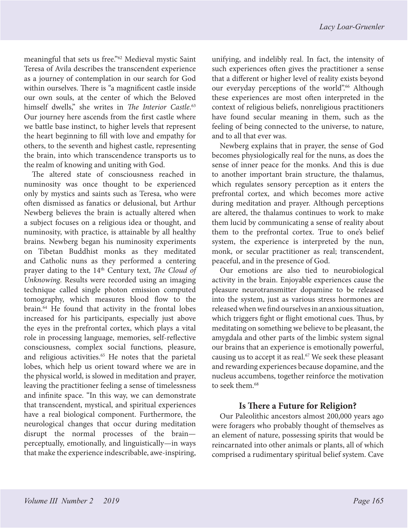<span id="page-10-0"></span>meaningful that sets us free."[62](#page-16-0) Medieval mystic Saint Teresa of Avila describes the transcendent experience as a journey of contemplation in our search for God within ourselves. There is "a magnificent castle inside our own souls, at the center of which the Beloved himself dwells," she writes in *The Interior Castle*. [63](#page-16-0) Our journey here ascends from the first castle where we battle base instinct, to higher levels that represent the heart beginning to fill with love and empathy for others, to the seventh and highest castle, representing the brain, into which transcendence transports us to the realm of knowing and uniting with God.

The altered state of consciousness reached in numinosity was once thought to be experienced only by mystics and saints such as Teresa, who were often dismissed as fanatics or delusional, but Arthur Newberg believes the brain is actually altered when a subject focuses on a religious idea or thought, and numinosity, with practice, is attainable by all healthy brains. Newberg began his numinosity experiments on Tibetan Buddhist monks as they meditated and Catholic nuns as they performed a centering prayer dating to the 14<sup>th</sup> Century text, *The Cloud of Unknowing*. Results were recorded using an imaging technique called single photon emission computed tomography, which measures blood flow to the brain[.64](#page-16-0) He found that activity in the frontal lobes increased for his participants, especially just above the eyes in the prefrontal cortex, which plays a vital role in processing language, memories, self-reflective consciousness, complex social functions, pleasure, and religious activities.<sup>65</sup> He notes that the parietal lobes, which help us orient toward where we are in the physical world, is slowed in meditation and prayer, leaving the practitioner feeling a sense of timelessness and infinite space. "In this way, we can demonstrate that transcendent, mystical, and spiritual experiences have a real biological component. Furthermore, the neurological changes that occur during meditation disrupt the normal processes of the brain perceptually, emotionally, and linguistically—in ways that make the experience indescribable, awe-inspiring,

unifying, and indelibly real. In fact, the intensity of such experiences often gives the practitioner a sense that a different or higher level of reality exists beyond our everyday perceptions of the world".<sup>66</sup> Although these experiences are most often interpreted in the context of religious beliefs, nonreligious practitioners have found secular meaning in them, such as the feeling of being connected to the universe, to nature, and to all that ever was.

Newberg explains that in prayer, the sense of God becomes physiologically real for the nuns, as does the sense of inner peace for the monks. And this is due to another important brain structure, the thalamus, which regulates sensory perception as it enters the prefrontal cortex, and which becomes more active during meditation and prayer. Although perceptions are altered, the thalamus continues to work to make them lucid by communicating a sense of reality about them to the prefrontal cortex. True to one's belief system, the experience is interpreted by the nun, monk, or secular practitioner as real; transcendent, peaceful, and in the presence of God.

Our emotions are also tied to neurobiological activity in the brain. Enjoyable experiences cause the pleasure neurotransmitter dopamine to be released into the system, just as various stress hormones are released when we find ourselves in an anxious situation, which triggers fight or flight emotional cues. Thus, by meditating on something we believe to be pleasant, the amygdala and other parts of the limbic system signal our brains that an experience is emotionally powerful, causing us to accept it as real.<sup>67</sup> We seek these pleasant and rewarding experiences because dopamine, and the nucleus accumbens, together reinforce the motivation to seek them.<sup>[68](#page-16-0)</sup>

# **Is There a Future for Religion?**

Our Paleolithic ancestors almost 200,000 years ago were foragers who probably thought of themselves as an element of nature, possessing spirits that would be reincarnated into other animals or plants, all of which comprised a rudimentary spiritual belief system. Cave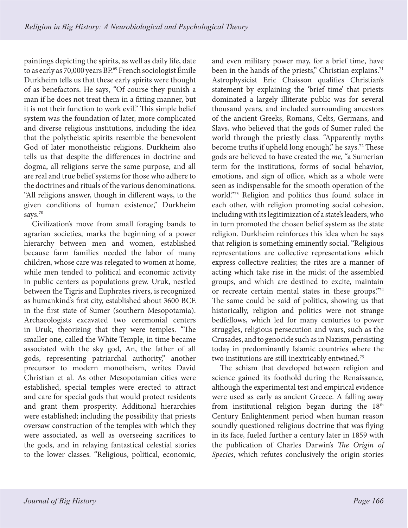<span id="page-11-0"></span>paintings depicting the spirits, as well as daily life, date to as early as 70,000 years BP.<sup>69</sup> French sociologist Émile Durkheim tells us that these early spirits were thought of as benefactors. He says, "Of course they punish a man if he does not treat them in a fitting manner, but it is not their function to work evil." This simple belief system was the foundation of later, more complicated and diverse religious institutions, including the idea that the polytheistic spirits resemble the benevolent God of later monotheistic religions. Durkheim also tells us that despite the differences in doctrine and dogma, all religions serve the same purpose, and all are real and true belief systems for those who adhere to the doctrines and rituals of the various denominations. "All religions answer, though in different ways, to the given conditions of human existence," Durkheim says.<sup>70</sup>

Civilization's move from small foraging bands to agrarian societies, marks the beginning of a power hierarchy between men and women, established because farm families needed the labor of many children, whose care was relegated to women at home, while men tended to political and economic activity in public centers as populations grew. Uruk, nestled between the Tigris and Euphrates rivers, is recognized as humankind's first city, established about 3600 BCE in the first state of Sumer (southern Mesopotamia). Archaeologists excavated two ceremonial centers in Uruk, theorizing that they were temples. "The smaller one, called the White Temple, in time became associated with the sky god, An, the father of all gods, representing patriarchal authority," another precursor to modern monotheism, writes David Christian et al. As other Mesopotamian cities were established, special temples were erected to attract and care for special gods that would protect residents and grant them prosperity. Additional hierarchies were established; including the possibility that priests oversaw construction of the temples with which they were associated, as well as overseeing sacrifices to the gods, and in relaying fantastical celestial stories to the lower classes. "Religious, political, economic,

and even military power may, for a brief time, have been in the hands of the priests," Christian explains.<sup>71</sup> Astrophysicist Eric Chaisson qualifies Christian's statement by explaining the 'brief time' that priests dominated a largely illiterate public was for several thousand years, and included surrounding ancestors of the ancient Greeks, Romans, Celts, Germans, and Slavs, who believed that the gods of Sumer ruled the world through the priestly class. "Apparently myths become truths if upheld long enough," he says.<sup>72</sup> These gods are believed to have created the *me*, "a Sumerian term for the institutions, forms of social behavior, emotions, and sign of office, which as a whole were seen as indispensable for the smooth operation of the world."[73](#page-17-0) Religion and politics thus found solace in each other, with religion promoting social cohesion, including with its legitimization of a state's leaders, who in turn promoted the chosen belief system as the state religion. Durkheim reinforces this idea when he says that religion is something eminently social. "Religious representations are collective representations which express collective realities; the rites are a manner of acting which take rise in the midst of the assembled groups, and which are destined to excite, maintain or recreate certain mental states in these groups.["74](#page-17-0) The same could be said of politics, showing us that historically, religion and politics were not strange bedfellows, which led for many centuries to power struggles, religious persecution and wars, such as the Crusades, and to genocide such as in Nazism, persisting today in predominantly Islamic countries where the two institutions are still inextricably entwined.<sup>[75](#page-17-0)</sup>

The schism that developed between religion and science gained its foothold during the Renaissance, although the experimental test and empirical evidence were used as early as ancient Greece. A falling away from institutional religion began during the  $18<sup>th</sup>$ Century Enlightenment period when human reason soundly questioned religious doctrine that was flying in its face, fueled further a century later in 1859 with the publication of Charles Darwin's *The Origin of Species*, which refutes conclusively the origin stories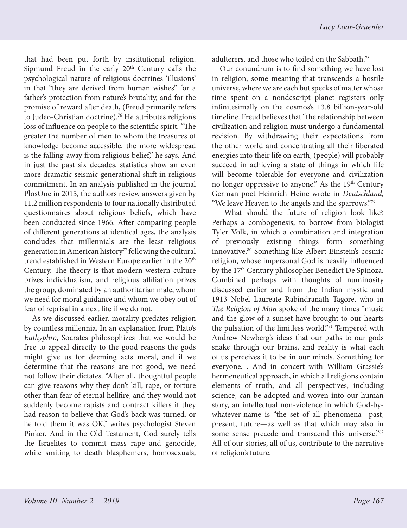<span id="page-12-0"></span>that had been put forth by institutional religion. Sigmund Freud in the early  $20<sup>th</sup>$  Century calls the psychological nature of religious doctrines 'illusions' in that "they are derived from human wishes" for a father's protection from nature's brutality, and for the promise of reward after death, (Freud primarily refers to Judeo-Christian doctrine).<sup>[76](#page-17-0)</sup> He attributes religion's loss of influence on people to the scientific spirit. "The greater the number of men to whom the treasures of knowledge become accessible, the more widespread is the falling-away from religious belief," he says. And in just the past six decades, statistics show an even more dramatic seismic generational shift in religious commitment. In an analysis published in the journal PlosOne in 2015, the authors review answers given by 11.2 million respondents to four nationally distributed questionnaires about religious beliefs, which have been conducted since 1966. After comparing people of different generations at identical ages, the analysis concludes that millennials are the least religious generation in American history<sup>77</sup> following the cultural trend established in Western Europe earlier in the 20<sup>th</sup> Century. The theory is that modern western culture prizes individualism, and religious affiliation prizes the group, dominated by an authoritarian male, whom we need for moral guidance and whom we obey out of fear of reprisal in a next life if we do not.

As we discussed earlier, morality predates religion by countless millennia. In an explanation from Plato's *Euthyphro*, Socrates philosophizes that we would be free to appeal directly to the good reasons the gods might give us for deeming acts moral, and if we determine that the reasons are not good, we need not follow their dictates. "After all, thoughtful people can give reasons why they don't kill, rape, or torture other than fear of eternal hellfire, and they would not suddenly become rapists and contract killers if they had reason to believe that God's back was turned, or he told them it was OK," writes psychologist Steven Pinker. And in the Old Testament, God surely tells the Israelites to commit mass rape and genocide, while smiting to death blasphemers, homosexuals,

adulterers, and those who toiled on the Sabbath[.78](#page-17-0)

Our conundrum is to find something we have lost in religion, some meaning that transcends a hostile universe, where we are each but specks of matter whose time spent on a nondescript planet registers only infinitesimally on the cosmos's 13.8 billion-year-old timeline. Freud believes that "the relationship between civilization and religion must undergo a fundamental revision. By withdrawing their expectations from the other world and concentrating all their liberated energies into their life on earth, (people) will probably succeed in achieving a state of things in which life will become tolerable for everyone and civilization no longer oppressive to anyone." As the 19<sup>th</sup> Century German poet Heinrich Heine wrote in *Deutschland*, "We leave Heaven to the angels and the sparrows."[79](#page-17-0)

 What should the future of religion look like? Perhaps a combogenesis, to borrow from biologist Tyler Volk, in which a combination and integration of previously existing things form something innovative.[80](#page-17-0) Something like Albert Einstein's cosmic religion, whose impersonal God is heavily influenced by the 17<sup>th</sup> Century philosopher Benedict De Spinoza. Combined perhaps with thoughts of numinosity discussed earlier and from the Indian mystic and 1913 Nobel Laureate Rabindranath Tagore, who in *The Religion of Man* spoke of the many times "music and the glow of a sunset have brought to our hearts the pulsation of the limitless world."[81](#page-17-0) Tempered with Andrew Newberg's ideas that our paths to our gods snake through our brains, and reality is what each of us perceives it to be in our minds. Something for everyone. . And in concert with William Grassie's hermeneutical approach, in which all religions contain elements of truth, and all perspectives, including science, can be adopted and woven into our human story, an intellectual non-violence in which God-bywhatever-name is "the set of all phenomena—past, present, future—as well as that which may also in some sense precede and transcend this universe.["82](#page-17-0) All of our stories, all of us, contribute to the narrative of religion's future.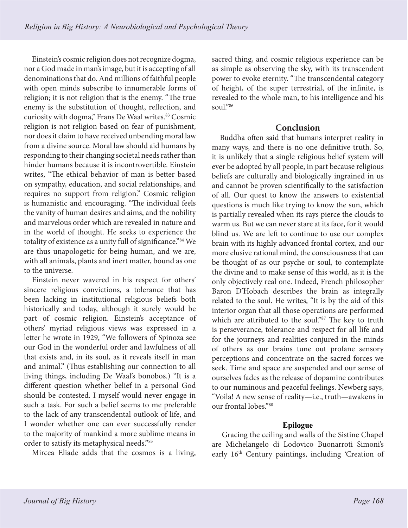<span id="page-13-0"></span>Einstein's cosmic religion does not recognize dogma, nor a God made in man's image, but it is accepting of all denominations that do. And millions of faithful people with open minds subscribe to innumerable forms of religion; it is not religion that is the enemy. "The true enemy is the substitution of thought, reflection, and curiosity with dogma," Frans De Waal writes.<sup>83</sup> Cosmic religion is not religion based on fear of punishment, nor does it claim to have received unbending moral law from a divine source. Moral law should aid humans by responding to their changing societal needs rather than hinder humans because it is incontrovertible. Einstein writes, "The ethical behavior of man is better based on sympathy, education, and social relationships, and requires no support from religion." Cosmic religion is humanistic and encouraging. "The individual feels the vanity of human desires and aims, and the nobility and marvelous order which are revealed in nature and in the world of thought. He seeks to experience the totality of existence as a unity full of significance." 84 We are thus unapologetic for being human, and we are, with all animals, plants and inert matter, bound as one to the universe.

Einstein never wavered in his respect for others' sincere religious convictions, a tolerance that has been lacking in institutional religious beliefs both historically and today, although it surely would be part of cosmic religion. Einstein's acceptance of others' myriad religious views was expressed in a letter he wrote in 1929, "We followers of Spinoza see our God in the wonderful order and lawfulness of all that exists and, in its soul, as it reveals itself in man and animal." (Thus establishing our connection to all living things, including De Waal's bonobos.) "It is a different question whether belief in a personal God should be contested. I myself would never engage in such a task. For such a belief seems to me preferable to the lack of any transcendental outlook of life, and I wonder whether one can ever successfully render to the majority of mankind a more sublime means in order to satisfy its metaphysical needs."[85](#page-17-0)

Mircea Eliade adds that the cosmos is a living,

sacred thing, and cosmic religious experience can be as simple as observing the sky, with its transcendent power to evoke eternity. "The transcendental category of height, of the super terrestrial, of the infinite, is revealed to the whole man, to his intelligence and his soul."[86](#page-17-0)

# **Conclusion**

Buddha often said that humans interpret reality in many ways, and there is no one definitive truth. So, it is unlikely that a single religious belief system will ever be adopted by all people, in part because religious beliefs are culturally and biologically ingrained in us and cannot be proven scientifically to the satisfaction of all. Our quest to know the answers to existential questions is much like trying to know the sun, which is partially revealed when its rays pierce the clouds to warm us. But we can never stare at its face, for it would blind us. We are left to continue to use our complex brain with its highly advanced frontal cortex, and our more elusive rational mind, the consciousness that can be thought of as our psyche or soul, to contemplate the divine and to make sense of this world, as it is the only objectively real one. Indeed, French philosopher Baron D'Hobach describes the brain as integrally related to the soul. He writes, "It is by the aid of this interior organ that all those operations are performed which are attributed to the soul.["87](#page-17-0) The key to truth is perseverance, tolerance and respect for all life and for the journeys and realities conjured in the minds of others as our brains tune out profane sensory perceptions and concentrate on the sacred forces we seek. Time and space are suspended and our sense of ourselves fades as the release of dopamine contributes to our numinous and peaceful feelings. Newberg says, "Voila! A new sense of reality—i.e., truth—awakens in our frontal lobes.["88](#page-17-0)

# **Epilogue**

 Gracing the ceiling and walls of the Sistine Chapel are Michelangelo di Lodovico Buonarroti Simoni's early 16th Century paintings, including 'Creation of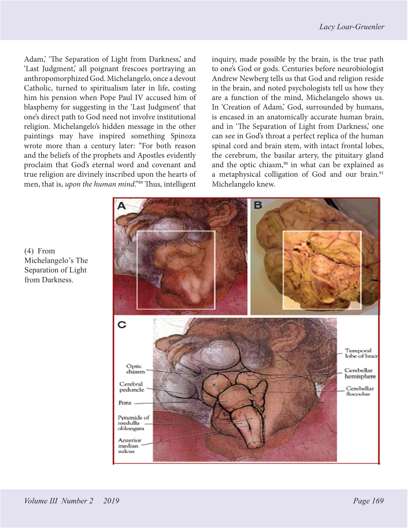<span id="page-14-0"></span>Adam,' 'The Separation of Light from Darkness,' and 'Last Judgment,' all poignant frescoes portraying an anthropomorphized God. Michelangelo, once a devout Catholic, turned to spiritualism later in life, costing him his pension when Pope Paul IV accused him of blasphemy for suggesting in the 'Last Judgment' that one's direct path to God need not involve institutional religion. Michelangelo's hidden message in the other paintings may have inspired something Spinoza wrote more than a century later: "For both reason and the beliefs of the prophets and Apostles evidently proclaim that God's eternal word and covenant and true religion are divinely inscribed upon the hearts of men, that is, *upon the human mind*."<sup>[89](#page-17-0)</sup> Thus, intelligent inquiry, made possible by the brain, is the true path to one's God or gods. Centuries before neurobiologist Andrew Newberg tells us that God and religion reside in the brain, and noted psychologists tell us how they are a function of the mind, Michelangelo shows us. In 'Creation of Adam,' God, surrounded by humans, is encased in an anatomically accurate human brain, and in 'The Separation of Light from Darkness,' one can see in God's throat a perfect replica of the human spinal cord and brain stem, with intact frontal lobes, the cerebrum, the basilar artery, the pituitary gland and the optic chiasm, $90$  in what can be explained as a metaphysical colligation of God and our brain.<sup>91</sup> Michelangelo knew.



(4) From Michelangelo's The Separation of Light from Darkness.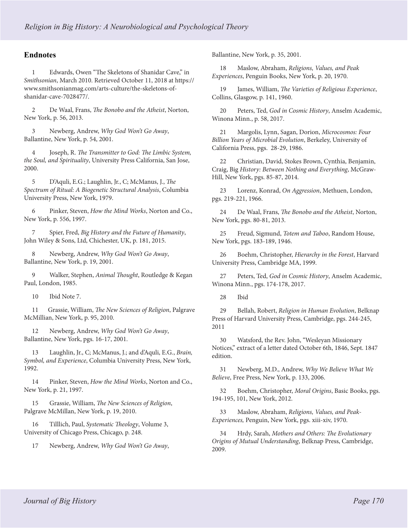### <span id="page-15-0"></span>**Endnotes**

[1](#page-0-0) Edwards, Owen "The Skeletons of Shanidar Cave," in *Smithsonian*, March 2010. Retrieved October 11, 2018 at https:// www.smithsonianmag.com/arts-culture/the-skeletons-ofshanidar-cave-7028477/.

[2](#page-0-0) De Waal, Frans, *The Bonobo and the Atheist*, Norton, New York, p. 56, 2013.

[3](#page-0-0) Newberg, Andrew, *Why God Won't Go Away*, Ballantine, New York, p. 54, 2001.

[4](#page-0-0) Joseph, R. *The Transmitter to God: The Limbic System, the Soul, and Spirituality*, University Press California, San Jose, 2000.

[5](#page-0-0) D'Aquli, E.G.; Laughlin, Jr., C; McManus, J., *The Spectrum of Ritual: A Biogenetic Structural Analysis*, Columbia University Press, New York, 1979.

[6](#page-1-0) Pinker, Steven, *How the Mind Works*, Norton and Co., New York, p. 556, 1997.

[7](#page-1-0) Spier, Fred, *Big History and the Future of Humanity*, John Wiley & Sons, Ltd, Chichester, UK, p. 181, 2015.

[8](#page-1-0) Newberg, Andrew, *Why God Won't Go Away*, Ballantine, New York, p. 19, 2001.

[9](#page-1-0) Walker, Stephen, *Animal Thought*, Routledge & Kegan Paul, London, 1985.

[10](#page-1-0) Ibid Note 7.

[11](#page-1-0) Grassie, William, *The New Sciences of Religion*, Palgrave McMillian, New York, p. 95, 2010.

[12](#page-1-0) Newberg, Andrew, *Why God Won't Go Away*, Ballantine, New York, pgs. 16-17, 2001.

[13](#page-1-0) Laughlin, Jr., C; McManus, J.; and d'Aquli, E.G., *Brain, Symbol, and Experience*, Columbia University Press, New York, 1992.

[14](#page-1-0) Pinker, Steven, *How the Mind Works*, Norton and Co., New York, p. 21, 1997.

[15](#page-2-0) Grassie, William, *The New Sciences of Religion*, Palgrave McMillan, New York, p. 19, 2010.

[16](#page-2-0) Tilllich, Paul, *Systematic Theology*, Volume 3, University of Chicago Press, Chicago, p. 248.

[17](#page-2-0) Newberg, Andrew, *Why God Won't Go Away*,

Ballantine, New York, p. 35, 2001.

[18](#page-2-0) Maslow, Abraham, *Religions, Values, and Peak Experiences*, Penguin Books, New York, p. 20, 1970.

[19](#page-2-0) James, William, *The Varieties of Religious Experience*, Collins, Glasgow, p. 141, 1960.

[20](#page-2-0) Peters, Ted, *God in Cosmic History*, Anselm Academic, Winona Minn., p. 58, 2017.

[21](#page-2-0) Margolis, Lynn, Sagan, Dorion, *Microcosmos: Four Billion Years of Microbial Evolution*, Berkeley, University of California Press, pgs. 28-29, 1986.

[22](#page-3-0) Christian, David, Stokes Brown, Cynthia, Benjamin, Craig, Big *History: Between Nothing and Everything*, McGraw-Hill, New York, pgs. 85-87, 2014.

[23](#page-3-0) Lorenz, Konrad, *On Aggression*, Methuen, London, pgs. 219-221, 1966.

[24](#page-3-0) De Waal, Frans, *The Bonobo and the Atheist*, Norton, New York, pgs. 80-81, 2013.

[25](#page-4-0) Freud, Sigmund, *Totem and Taboo*, Random House, New York, pgs. 183-189, 1946.

[26](#page-4-0) Boehm, Christopher, *Hierarchy in the Forest*, Harvard University Press, Cambridge MA, 1999.

[27](#page-4-0) Peters, Ted, *God in Cosmic History*, Anselm Academic, Winona Minn., pgs. 174-178, 2017.

[28](#page-4-0) Ibid

[29](#page-4-0) Bellah, Robert, *Religion in Human Evolution*, Belknap Press of Harvard University Press, Cambridge, pgs. 244-245, 2011

[30](#page-4-0) Watsford, the Rev. John, "Wesleyan Missionary Notices," extract of a letter dated October 6th, 1846, Sept. 1847 edition.

[31](#page-4-0) Newberg, M.D., Andrew, *Why We Believe What We Believe*, Free Press, New York, p. 133, 2006.

[32](#page-5-0) Boehm, Christopher, *Moral Origins*, Basic Books, pgs. 194-195, 101, New York, 2012.

[33](#page-5-0) Maslow, Abraham, *Religions, Values, and Peak-Experiences,* Penguin, New York, pgs. xiii-xiv, 1970.

[34](#page-5-0) Hrdy, Sarah, *Mothers and Others: The Evolutionary Origins of Mutual Understanding*, Belknap Press, Cambridge, 2009.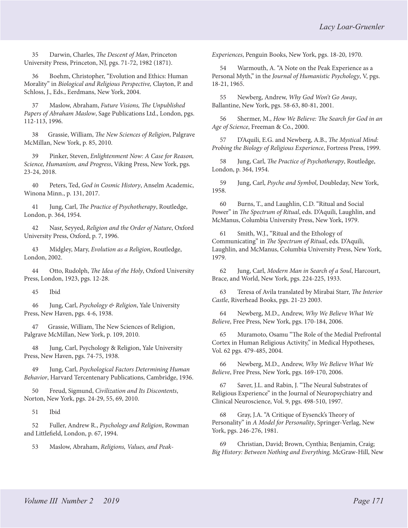<span id="page-16-0"></span>[35](#page-5-0) Darwin, Charles, *The Descent of Man*, Princeton University Press, Princeton, NJ, pgs. 71-72, 1982 (1871).

[36](#page-5-0) Boehm, Christopher, "Evolution and Ethics: Human Morality" in *Biological and Religious Perspective,* Clayton, P. and Schloss, J., Eds., Eerdmans, New York, 2004.

[37](#page-5-0) Maslow, Abraham, *Future Visions, The Unpublished Papers of Abraham Maslow*, Sage Publications Ltd., London, pgs. 112-113, 1996.

[38](#page-5-0) Grassie, William, *The New Sciences of Religion*, Palgrave McMillan, New York, p. 85, 2010.

[39](#page-5-0) Pinker, Steven, *Enlightenment Now: A Case for Reason, Science, Humanism, and Progress*, Viking Press, New York, pgs. 23-24, 2018.

[40](#page-6-0) Peters, Ted, *God in Cosmic History*, Anselm Academic, Winona Minn., p. 131, 2017.

[41](#page-6-0) Jung, Carl, *The Practice of Psychotherapy*, Routledge, London, p. 364, 1954.

[42](#page-6-0) Nasr, Seyyed, *Religion and the Order of Nature*, Oxford University Press, Oxford, p. 7, 1996.

[43](#page-6-0) Midgley, Mary, *Evolution as a Religion*, Routledge, London, 2002.

[44](#page-6-0) Otto, Rudolph, *The Idea of the Holy*, Oxford University Press, London, 1923, pgs. 12-28.

[45](#page-6-0) Ibid

[46](#page-7-0) Jung, Carl, *Psychology & Religion*, Yale University Press, New Haven, pgs. 4-6, 1938.

[47](#page-7-0) Grassie, William, The New Sciences of Religion, Palgrave McMillan, New York, p. 109, 2010.

[48](#page-7-0) Jung, Carl, Psychology & Religion, Yale University Press, New Haven, pgs. 74-75, 1938.

[49](#page-7-0) Jung, Carl, *Psychological Factors Determining Human Behavior*, Harvard Tercentenary Publications, Cambridge, 1936.

[50](#page-8-0) Freud, Sigmund, *Civilization and Its Discontents*, Norton, New York, pgs. 24-29, 55, 69, 2010.

[51](#page-8-0) Ibid

[52](#page-8-0) Fuller, Andrew R., *Psychology and Religion*, Rowman and Littlefield, London, p. 67, 1994.

[53](#page-8-0) Maslow, Abraham, *Religions, Values, and Peak-*

*Experiences*, Penguin Books, New York, pgs. 18-20, 1970.

[54](#page-8-0) Warmouth, A. "A Note on the Peak Experience as a Personal Myth," in the *Journal of Humanistic Psychology*, V, pgs. 18-21, 1965.

[55](#page-9-0) Newberg, Andrew, *Why God Won't Go Away*, Ballantine, New York, pgs. 58-63, 80-81, 2001.

[56](#page-9-0) Shermer, M., *How We Believe: The Search for God in an Age of Science*, Freeman & Co., 2000.

[57](#page-9-0) D'Aquili, E.G. and Newberg, A.B., *The Mystical Mind: Probing the Biology of Religious Experience*, Fortress Press, 1999.

[58](#page-9-0) Jung, Carl, *The Practice of Psychotherapy*, Routledge, London, p. 364, 1954.

[59](#page-9-0) Jung, Carl, *Psyche and Symbol*, Doubleday, New York, 1958.

[60](#page-9-0) Burns, T., and Laughlin, C.D. "Ritual and Social Power" in *The Spectrum of Ritual*, eds. D'Aquili, Laughlin, and McManus, Columbia University Press, New York, 1979.

[61](#page-9-0) Smith, W.J., "Ritual and the Ethology of Communicating" in *The Spectrum of Ritual*, eds. D'Aquili, Laughlin, and McManus, Columbia University Press, New York, 1979.

[62](#page-10-0) Jung, Carl, *Modern Man in Search of a Soul*, Harcourt, Brace, and World, New York, pgs. 224-225, 1933.

[63](#page-10-0) Teresa of Avila translated by Mirabai Starr, *The Interior Castle*, Riverhead Books, pgs. 21-23 2003.

[64](#page-10-0) Newberg, M.D., Andrew, *Why We Believe What We Believe*, Free Press, New York, pgs. 170-184, 2006.

[65](#page-10-0) Muramoto, Osamu "The Role of the Medial Prefrontal Cortex in Human Religious Activity," in Medical Hypotheses, Vol. 62 pgs. 479-485, 2004.

[66](#page-10-0) Newberg, M.D., Andrew, *Why We Believe What We Believe*, Free Press, New York, pgs. 169-170, 2006.

[67](#page-10-0) Saver, J.L. and Rabin, J. "The Neural Substrates of Religious Experience" in the Journal of Neuropsychiatry and Clinical Neuroscience, Vol. 9, pgs. 498-510, 1997.

[68](#page-10-0) Gray, J.A. "A Critique of Eysenck's Theory of Personality" in *A Model for Personality*, Springer-Verlag, New York, pgs. 246-276, 1981.

[69](#page-11-0) Christian, David; Brown, Cynthia; Benjamin, Craig; *Big History: Between Nothing and Everything,* McGraw-Hill, New